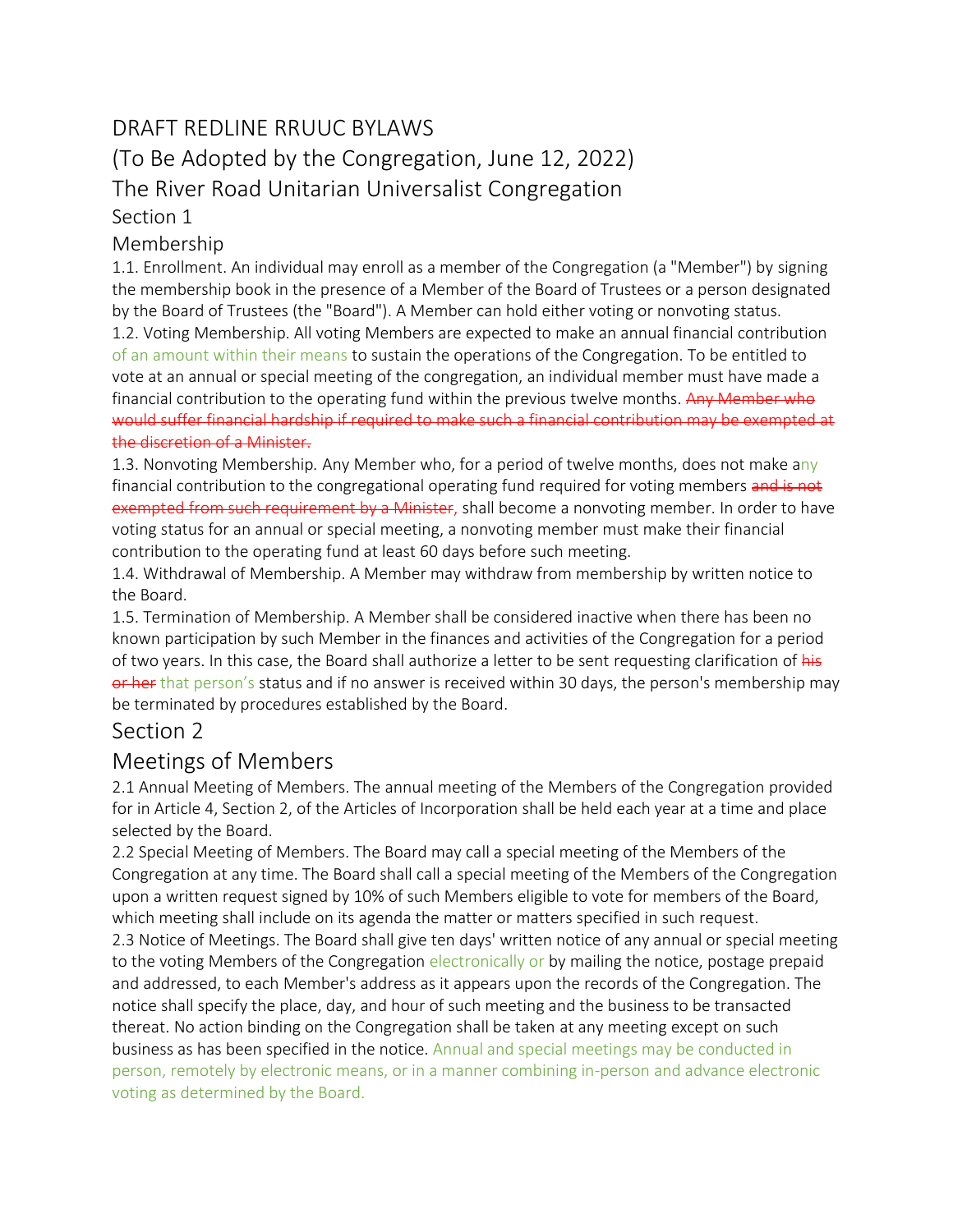# DRAFT REDLINE RRUUC BYLAWS

(To Be Adopted by the Congregation, June 12, 2022)

The River Road Unitarian Universalist Congregation

Section 1

### Membership

1.1. Enrollment. An individual may enroll as a member of the Congregation (a "Member") by signing the membership book in the presence of a Member of the Board of Trustees or a person designated by the Board of Trustees (the "Board"). A Member can hold either voting or nonvoting status. 1.2. Voting Membership. All voting Members are expected to make an annual financial contribution of an amount within their means to sustain the operations of the Congregation. To be entitled to vote at an annual or special meeting of the congregation, an individual member must have made a financial contribution to the operating fund within the previous twelve months. Any Member who would suffer financial hardship if required to make such a financial contribution may be exempted at the discretion of a Minister.

1.3. Nonvoting Membership*.* Any Member who, for a period of twelve months, does not make any financial contribution to the congregational operating fund required for voting members and is not exempted from such requirement by a Minister, shall become a nonvoting member. In order to have voting status for an annual or special meeting, a nonvoting member must make their financial contribution to the operating fund at least 60 days before such meeting.

1.4. Withdrawal of Membership. A Member may withdraw from membership by written notice to the Board.

1.5. Termination of Membership. A Member shall be considered inactive when there has been no known participation by such Member in the finances and activities of the Congregation for a period of two years. In this case, the Board shall authorize a letter to be sent requesting clarification of his or her that person's status and if no answer is received within 30 days, the person's membership may be terminated by procedures established by the Board.

## Section 2

# Meetings of Members

2.1 Annual Meeting of Members. The annual meeting of the Members of the Congregation provided for in Article 4, Section 2, of the Articles of Incorporation shall be held each year at a time and place selected by the Board.

2.2 Special Meeting of Members. The Board may call a special meeting of the Members of the Congregation at any time. The Board shall call a special meeting of the Members of the Congregation upon a written request signed by 10% of such Members eligible to vote for members of the Board, which meeting shall include on its agenda the matter or matters specified in such request.

2.3 Notice of Meetings. The Board shall give ten days' written notice of any annual or special meeting to the voting Members of the Congregation electronically or by mailing the notice, postage prepaid and addressed, to each Member's address as it appears upon the records of the Congregation. The notice shall specify the place, day, and hour of such meeting and the business to be transacted thereat. No action binding on the Congregation shall be taken at any meeting except on such business as has been specified in the notice. Annual and special meetings may be conducted in person, remotely by electronic means, or in a manner combining in-person and advance electronic voting as determined by the Board.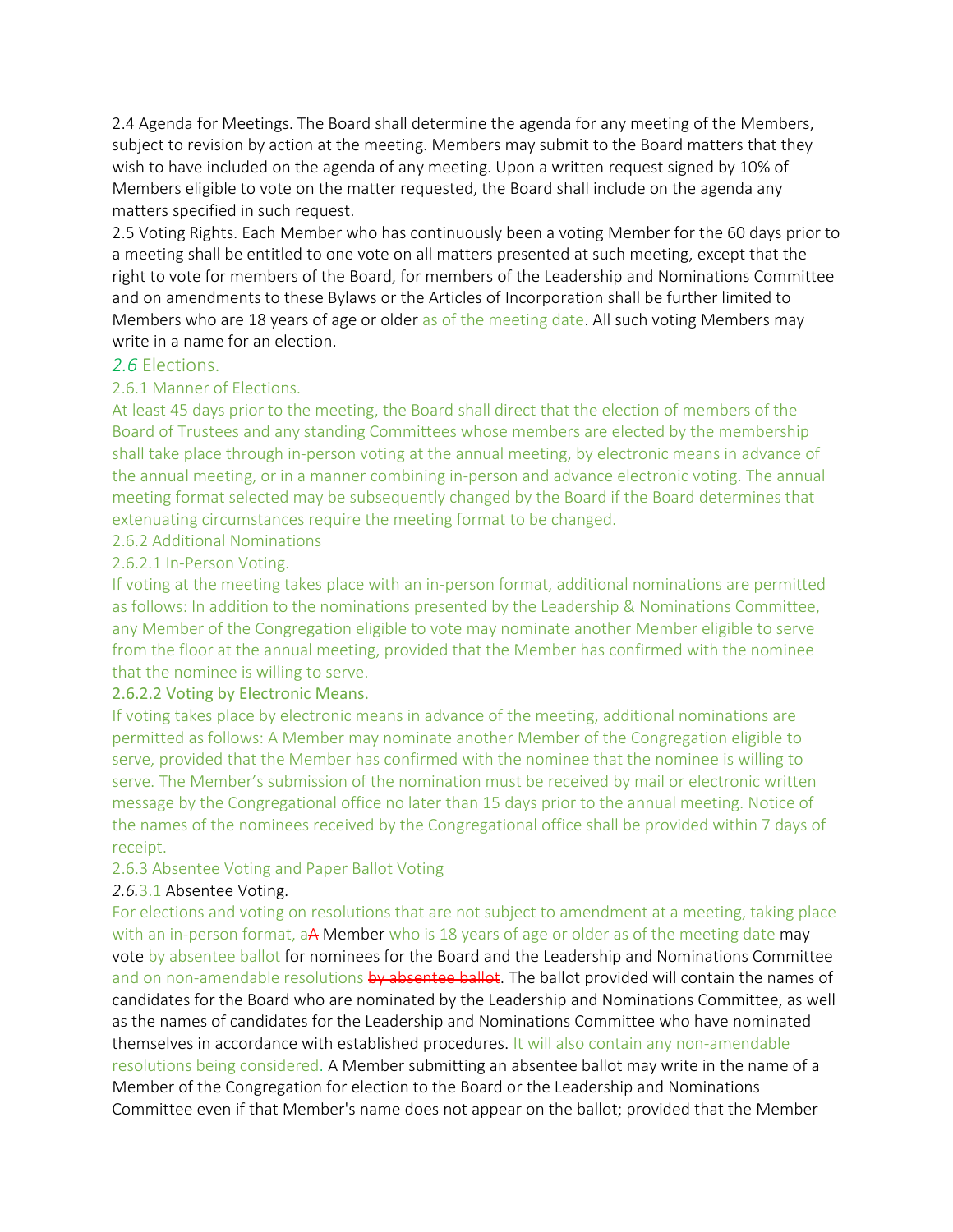2.4 Agenda for Meetings. The Board shall determine the agenda for any meeting of the Members, subject to revision by action at the meeting. Members may submit to the Board matters that they wish to have included on the agenda of any meeting. Upon a written request signed by 10% of Members eligible to vote on the matter requested, the Board shall include on the agenda any matters specified in such request.

2.5 Voting Rights. Each Member who has continuously been a voting Member for the 60 days prior to a meeting shall be entitled to one vote on all matters presented at such meeting, except that the right to vote for members of the Board, for members of the Leadership and Nominations Committee and on amendments to these Bylaws or the Articles of Incorporation shall be further limited to Members who are 18 years of age or older as of the meeting date. All such voting Members may write in a name for an election.

#### *2.6* Elections.

#### 2.6.1 Manner of Elections.

At least 45 days prior to the meeting, the Board shall direct that the election of members of the Board of Trustees and any standing Committees whose members are elected by the membership shall take place through in-person voting at the annual meeting, by electronic means in advance of the annual meeting, or in a manner combining in-person and advance electronic voting. The annual meeting format selected may be subsequently changed by the Board if the Board determines that extenuating circumstances require the meeting format to be changed.

#### 2.6.2 Additional Nominations

#### 2.6.2.1 In-Person Voting.

If voting at the meeting takes place with an in-person format, additional nominations are permitted as follows: In addition to the nominations presented by the Leadership & Nominations Committee, any Member of the Congregation eligible to vote may nominate another Member eligible to serve from the floor at the annual meeting, provided that the Member has confirmed with the nominee that the nominee is willing to serve.

#### 2.6.2.2 Voting by Electronic Means.

If voting takes place by electronic means in advance of the meeting, additional nominations are permitted as follows: A Member may nominate another Member of the Congregation eligible to serve, provided that the Member has confirmed with the nominee that the nominee is willing to serve. The Member's submission of the nomination must be received by mail or electronic written message by the Congregational office no later than 15 days prior to the annual meeting. Notice of the names of the nominees received by the Congregational office shall be provided within 7 days of receipt.

### 2.6.3 Absentee Voting and Paper Ballot Voting

### *2.6.*3.1 Absentee Voting.

For elections and voting on resolutions that are not subject to amendment at a meeting, taking place with an in-person format, aA Member who is 18 years of age or older as of the meeting date may vote by absentee ballot for nominees for the Board and the Leadership and Nominations Committee and on non-amendable resolutions by absentee ballot. The ballot provided will contain the names of candidates for the Board who are nominated by the Leadership and Nominations Committee, as well as the names of candidates for the Leadership and Nominations Committee who have nominated themselves in accordance with established procedures. It will also contain any non-amendable resolutions being considered. A Member submitting an absentee ballot may write in the name of a Member of the Congregation for election to the Board or the Leadership and Nominations Committee even if that Member's name does not appear on the ballot; provided that the Member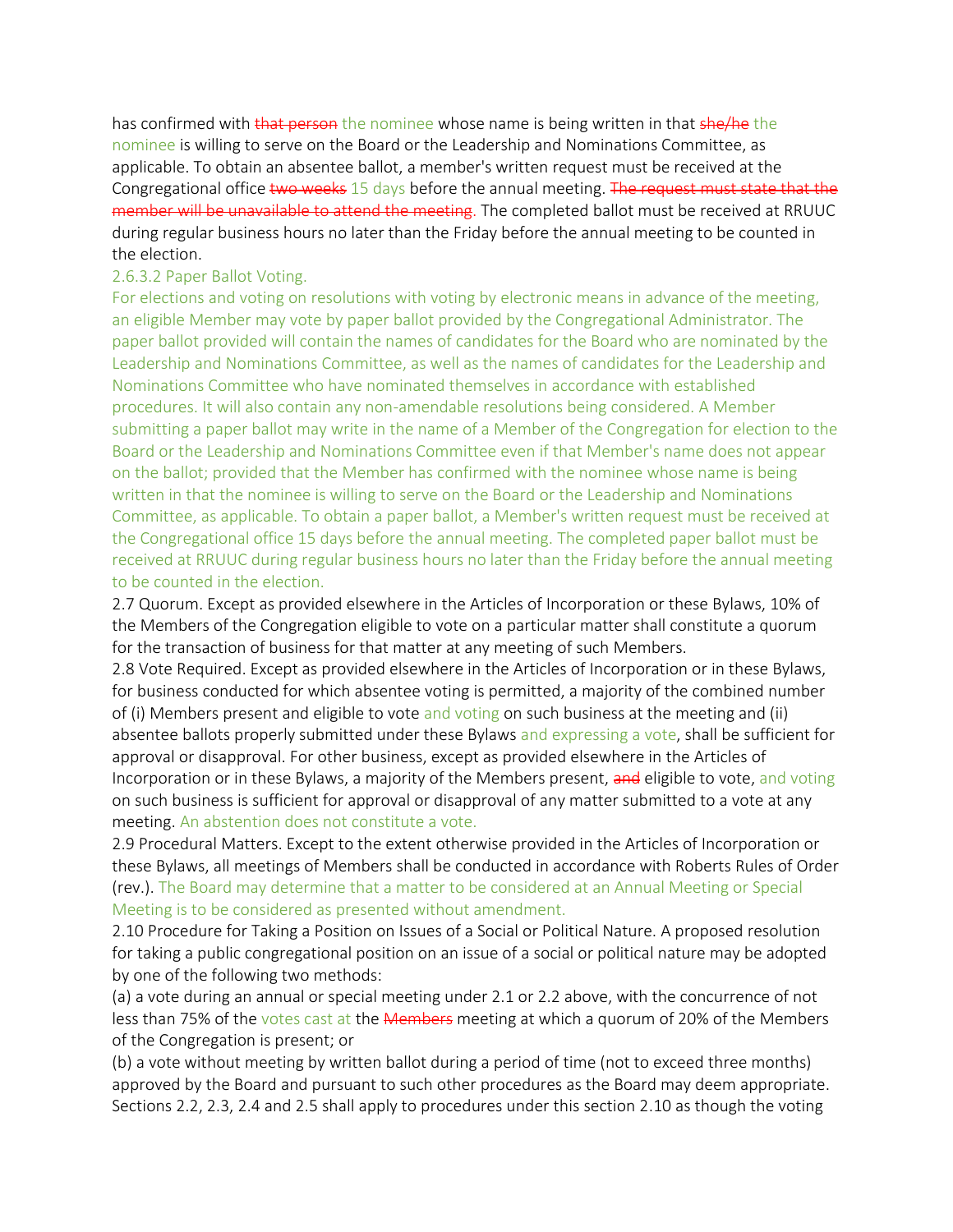has confirmed with that person the nominee whose name is being written in that she/he the nominee is willing to serve on the Board or the Leadership and Nominations Committee, as applicable. To obtain an absentee ballot, a member's written request must be received at the Congregational office two weeks 15 days before the annual meeting. The request must state that the member will be unavailable to attend the meeting. The completed ballot must be received at RRUUC during regular business hours no later than the Friday before the annual meeting to be counted in the election.

#### 2.6.3.2 Paper Ballot Voting.

For elections and voting on resolutions with voting by electronic means in advance of the meeting, an eligible Member may vote by paper ballot provided by the Congregational Administrator. The paper ballot provided will contain the names of candidates for the Board who are nominated by the Leadership and Nominations Committee, as well as the names of candidates for the Leadership and Nominations Committee who have nominated themselves in accordance with established procedures. It will also contain any non-amendable resolutions being considered. A Member submitting a paper ballot may write in the name of a Member of the Congregation for election to the Board or the Leadership and Nominations Committee even if that Member's name does not appear on the ballot; provided that the Member has confirmed with the nominee whose name is being written in that the nominee is willing to serve on the Board or the Leadership and Nominations Committee, as applicable. To obtain a paper ballot, a Member's written request must be received at the Congregational office 15 days before the annual meeting. The completed paper ballot must be received at RRUUC during regular business hours no later than the Friday before the annual meeting to be counted in the election.

2.7 Quorum. Except as provided elsewhere in the Articles of Incorporation or these Bylaws, 10% of the Members of the Congregation eligible to vote on a particular matter shall constitute a quorum for the transaction of business for that matter at any meeting of such Members.

2.8 Vote Required. Except as provided elsewhere in the Articles of Incorporation or in these Bylaws, for business conducted for which absentee voting is permitted, a majority of the combined number of (i) Members present and eligible to vote and voting on such business at the meeting and (ii) absentee ballots properly submitted under these Bylaws and expressing a vote, shall be sufficient for approval or disapproval. For other business, except as provided elsewhere in the Articles of Incorporation or in these Bylaws, a majority of the Members present, and eligible to vote, and voting on such business is sufficient for approval or disapproval of any matter submitted to a vote at any meeting. An abstention does not constitute a vote.

2.9 Procedural Matters. Except to the extent otherwise provided in the Articles of Incorporation or these Bylaws, all meetings of Members shall be conducted in accordance with Roberts Rules of Order (rev.). The Board may determine that a matter to be considered at an Annual Meeting or Special Meeting is to be considered as presented without amendment.

2.10 Procedure for Taking a Position on Issues of a Social or Political Nature. A proposed resolution for taking a public congregational position on an issue of a social or political nature may be adopted by one of the following two methods:

(a) a vote during an annual or special meeting under 2.1 or 2.2 above, with the concurrence of not less than 75% of the votes cast at the Members meeting at which a quorum of 20% of the Members of the Congregation is present; or

(b) a vote without meeting by written ballot during a period of time (not to exceed three months) approved by the Board and pursuant to such other procedures as the Board may deem appropriate. Sections 2.2, 2.3, 2.4 and 2.5 shall apply to procedures under this section 2.10 as though the voting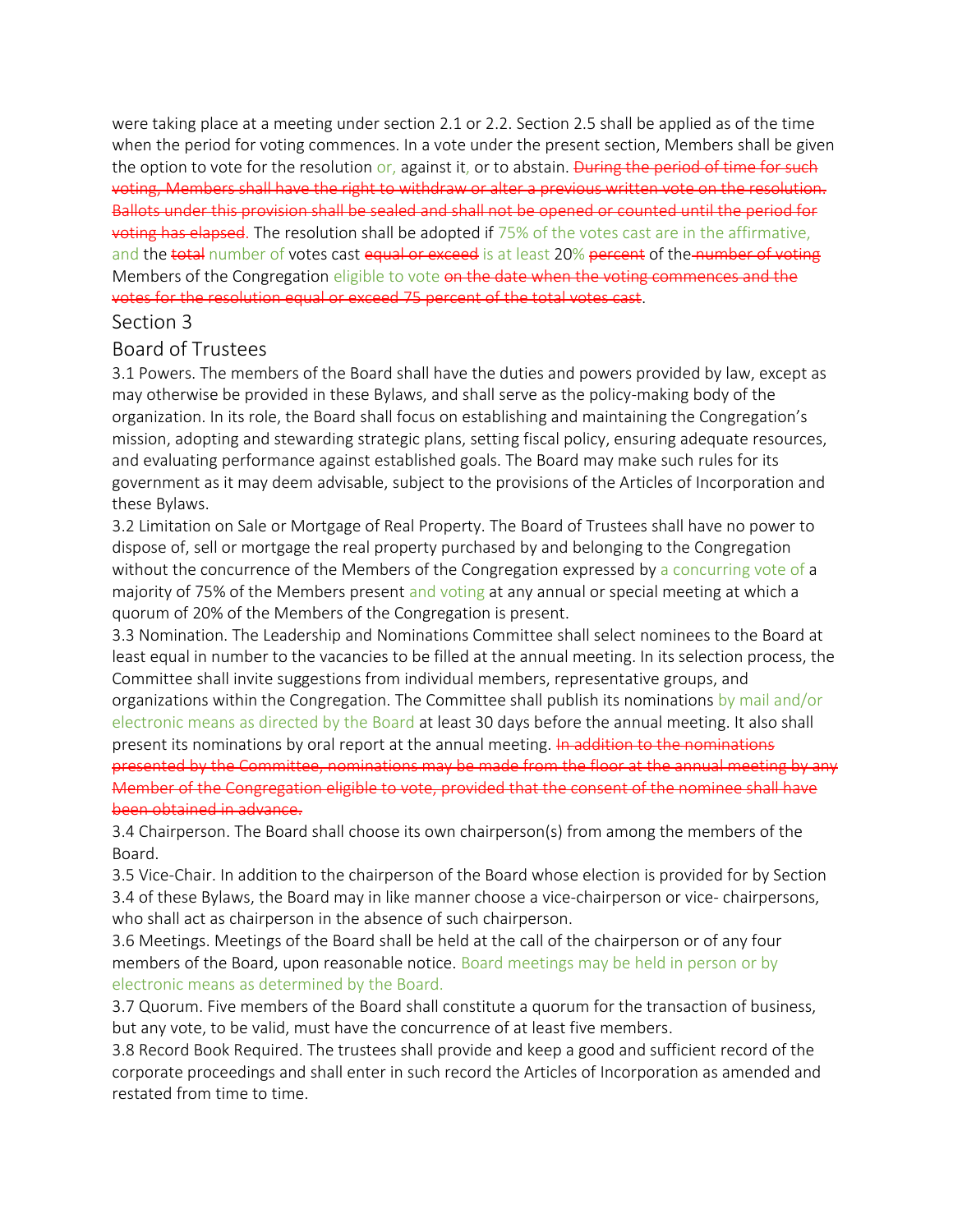were taking place at a meeting under section 2.1 or 2.2. Section 2.5 shall be applied as of the time when the period for voting commences. In a vote under the present section, Members shall be given the option to vote for the resolution or, against it, or to abstain. During the period of time for such voting, Members shall have the right to withdraw or alter a previous written vote on the resolution. Ballots under this provision shall be sealed and shall not be opened or counted until the period for voting has elapsed. The resolution shall be adopted if 75% of the votes cast are in the affirmative, and the total number of votes cast equal or exceed is at least 20% percent of the number of voting Members of the Congregation eligible to vote on the date when the voting commences and the votes for the resolution equal or exceed 75 percent of the total votes cast.

### Section 3

### Board of Trustees

3.1 Powers. The members of the Board shall have the duties and powers provided by law, except as may otherwise be provided in these Bylaws, and shall serve as the policy-making body of the organization. In its role, the Board shall focus on establishing and maintaining the Congregation's mission, adopting and stewarding strategic plans, setting fiscal policy, ensuring adequate resources, and evaluating performance against established goals. The Board may make such rules for its government as it may deem advisable, subject to the provisions of the Articles of Incorporation and these Bylaws.

3.2 Limitation on Sale or Mortgage of Real Property. The Board of Trustees shall have no power to dispose of, sell or mortgage the real property purchased by and belonging to the Congregation without the concurrence of the Members of the Congregation expressed by a concurring vote of a majority of 75% of the Members present and voting at any annual or special meeting at which a quorum of 20% of the Members of the Congregation is present.

3.3 Nomination. The Leadership and Nominations Committee shall select nominees to the Board at least equal in number to the vacancies to be filled at the annual meeting. In its selection process, the Committee shall invite suggestions from individual members, representative groups, and organizations within the Congregation. The Committee shall publish its nominations by mail and/or electronic means as directed by the Board at least 30 days before the annual meeting. It also shall present its nominations by oral report at the annual meeting. In addition to the nominations presented by the Committee, nominations may be made from the floor at the annual meeting by any Member of the Congregation eligible to vote, provided that the consent of the nominee shall have been obtained in advance.

3.4 Chairperson. The Board shall choose its own chairperson(s) from among the members of the Board.

3.5 Vice-Chair. In addition to the chairperson of the Board whose election is provided for by Section 3.4 of these Bylaws, the Board may in like manner choose a vice-chairperson or vice- chairpersons, who shall act as chairperson in the absence of such chairperson.

3.6 Meetings. Meetings of the Board shall be held at the call of the chairperson or of any four members of the Board, upon reasonable notice. Board meetings may be held in person or by electronic means as determined by the Board.

3.7 Quorum. Five members of the Board shall constitute a quorum for the transaction of business, but any vote, to be valid, must have the concurrence of at least five members.

3.8 Record Book Required. The trustees shall provide and keep a good and sufficient record of the corporate proceedings and shall enter in such record the Articles of Incorporation as amended and restated from time to time.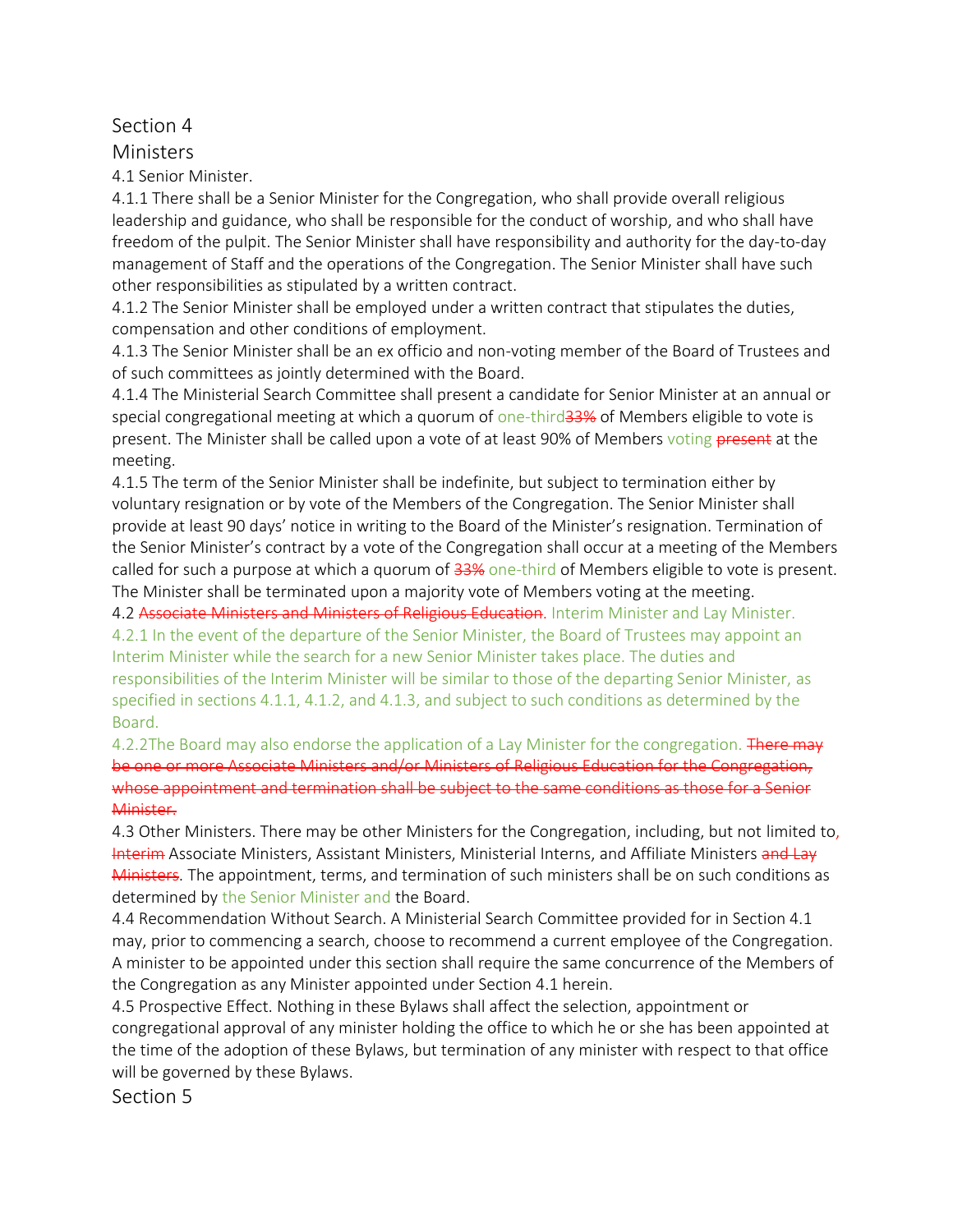### Section 4

### Ministers

4.1 Senior Minister.

4.1.1 There shall be a Senior Minister for the Congregation, who shall provide overall religious leadership and guidance, who shall be responsible for the conduct of worship, and who shall have freedom of the pulpit. The Senior Minister shall have responsibility and authority for the day-to-day management of Staff and the operations of the Congregation. The Senior Minister shall have such other responsibilities as stipulated by a written contract.

4.1.2 The Senior Minister shall be employed under a written contract that stipulates the duties, compensation and other conditions of employment.

4.1.3 The Senior Minister shall be an ex officio and non-voting member of the Board of Trustees and of such committees as jointly determined with the Board.

4.1.4 The Ministerial Search Committee shall present a candidate for Senior Minister at an annual or special congregational meeting at which a quorum of one-third<sup>33%</sup> of Members eligible to vote is present. The Minister shall be called upon a vote of at least 90% of Members voting present at the meeting.

4.1.5 The term of the Senior Minister shall be indefinite, but subject to termination either by voluntary resignation or by vote of the Members of the Congregation. The Senior Minister shall provide at least 90 days' notice in writing to the Board of the Minister's resignation. Termination of the Senior Minister's contract by a vote of the Congregation shall occur at a meeting of the Members called for such a purpose at which a quorum of  $\frac{33\%}{100}$  one-third of Members eligible to vote is present. The Minister shall be terminated upon a majority vote of Members voting at the meeting.

4.2 Associate Ministers and Ministers of Religious Education. Interim Minister and Lay Minister. 4.2.1 In the event of the departure of the Senior Minister, the Board of Trustees may appoint an Interim Minister while the search for a new Senior Minister takes place. The duties and responsibilities of the Interim Minister will be similar to those of the departing Senior Minister, as specified in sections 4.1.1, 4.1.2, and 4.1.3, and subject to such conditions as determined by the Board.

4.2.2The Board may also endorse the application of a Lay Minister for the congregation. There may be one or more Associate Ministers and/or Ministers of Religious Education for the Congregation, whose appointment and termination shall be subject to the same conditions as those for a Senior Minister.

4.3 Other Ministers. There may be other Ministers for the Congregation, including, but not limited to, Interim Associate Ministers, Assistant Ministers, Ministerial Interns, and Affiliate Ministers and Lay Ministers. The appointment, terms, and termination of such ministers shall be on such conditions as determined by the Senior Minister and the Board.

4.4 Recommendation Without Search. A Ministerial Search Committee provided for in Section 4.1 may, prior to commencing a search, choose to recommend a current employee of the Congregation. A minister to be appointed under this section shall require the same concurrence of the Members of the Congregation as any Minister appointed under Section 4.1 herein.

4.5 Prospective Effect. Nothing in these Bylaws shall affect the selection, appointment or congregational approval of any minister holding the office to which he or she has been appointed at the time of the adoption of these Bylaws, but termination of any minister with respect to that office will be governed by these Bylaws.

Section 5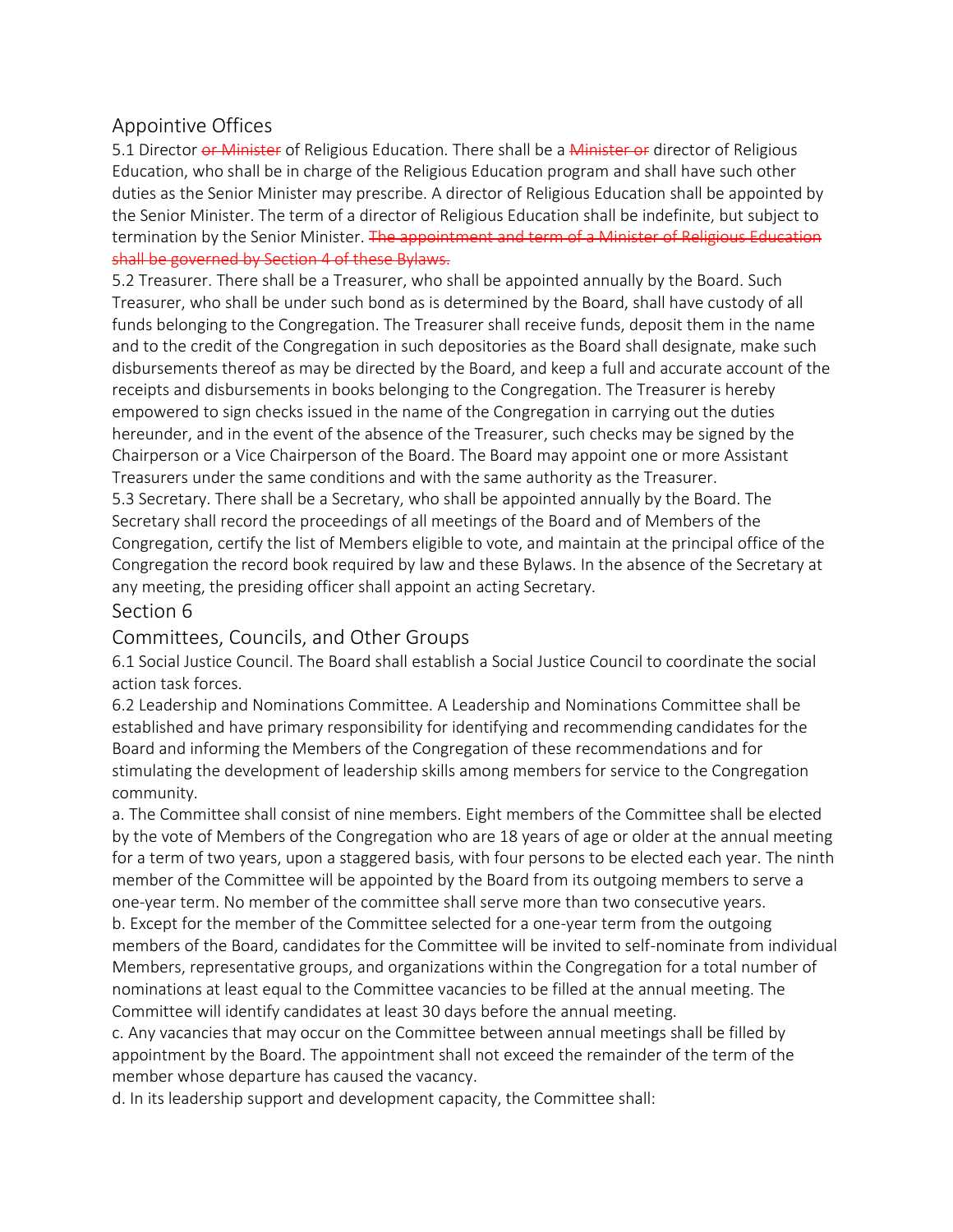### Appointive Offices

5.1 Director or Minister of Religious Education. There shall be a Minister or director of Religious Education, who shall be in charge of the Religious Education program and shall have such other duties as the Senior Minister may prescribe. A director of Religious Education shall be appointed by the Senior Minister. The term of a director of Religious Education shall be indefinite, but subject to termination by the Senior Minister. The appointment and term of a Minister of Religious Education shall be governed by Section 4 of these Bylaws.

5.2 Treasurer. There shall be a Treasurer, who shall be appointed annually by the Board. Such Treasurer, who shall be under such bond as is determined by the Board, shall have custody of all funds belonging to the Congregation. The Treasurer shall receive funds, deposit them in the name and to the credit of the Congregation in such depositories as the Board shall designate, make such disbursements thereof as may be directed by the Board, and keep a full and accurate account of the receipts and disbursements in books belonging to the Congregation. The Treasurer is hereby empowered to sign checks issued in the name of the Congregation in carrying out the duties hereunder, and in the event of the absence of the Treasurer, such checks may be signed by the Chairperson or a Vice Chairperson of the Board. The Board may appoint one or more Assistant Treasurers under the same conditions and with the same authority as the Treasurer.

5.3 Secretary. There shall be a Secretary, who shall be appointed annually by the Board. The Secretary shall record the proceedings of all meetings of the Board and of Members of the Congregation, certify the list of Members eligible to vote, and maintain at the principal office of the Congregation the record book required by law and these Bylaws. In the absence of the Secretary at any meeting, the presiding officer shall appoint an acting Secretary.

### Section 6

### Committees, Councils, and Other Groups

6.1 Social Justice Council. The Board shall establish a Social Justice Council to coordinate the social action task forces.

6.2 Leadership and Nominations Committee. A Leadership and Nominations Committee shall be established and have primary responsibility for identifying and recommending candidates for the Board and informing the Members of the Congregation of these recommendations and for stimulating the development of leadership skills among members for service to the Congregation community.

a. The Committee shall consist of nine members. Eight members of the Committee shall be elected by the vote of Members of the Congregation who are 18 years of age or older at the annual meeting for a term of two years, upon a staggered basis, with four persons to be elected each year. The ninth member of the Committee will be appointed by the Board from its outgoing members to serve a one-year term. No member of the committee shall serve more than two consecutive years. b. Except for the member of the Committee selected for a one-year term from the outgoing

members of the Board, candidates for the Committee will be invited to self-nominate from individual Members, representative groups, and organizations within the Congregation for a total number of nominations at least equal to the Committee vacancies to be filled at the annual meeting. The Committee will identify candidates at least 30 days before the annual meeting.

c. Any vacancies that may occur on the Committee between annual meetings shall be filled by appointment by the Board. The appointment shall not exceed the remainder of the term of the member whose departure has caused the vacancy.

d. In its leadership support and development capacity, the Committee shall: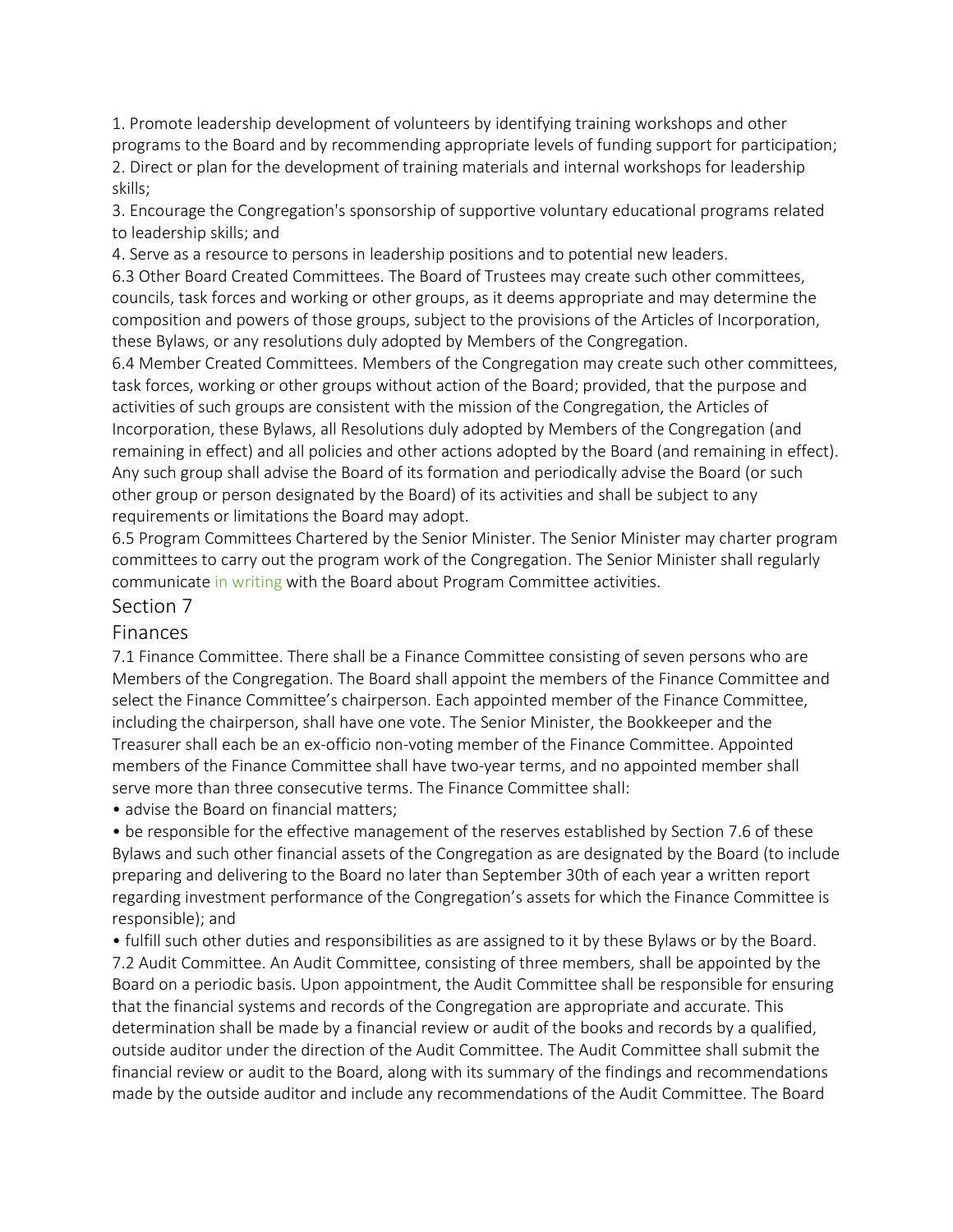1. Promote leadership development of volunteers by identifying training workshops and other programs to the Board and by recommending appropriate levels of funding support for participation; 2. Direct or plan for the development of training materials and internal workshops for leadership skills;

3. Encourage the Congregation's sponsorship of supportive voluntary educational programs related to leadership skills; and

4. Serve as a resource to persons in leadership positions and to potential new leaders.

6.3 Other Board Created Committees. The Board of Trustees may create such other committees, councils, task forces and working or other groups, as it deems appropriate and may determine the composition and powers of those groups, subject to the provisions of the Articles of Incorporation, these Bylaws, or any resolutions duly adopted by Members of the Congregation.

6.4 Member Created Committees. Members of the Congregation may create such other committees, task forces, working or other groups without action of the Board; provided, that the purpose and activities of such groups are consistent with the mission of the Congregation, the Articles of Incorporation, these Bylaws, all Resolutions duly adopted by Members of the Congregation (and remaining in effect) and all policies and other actions adopted by the Board (and remaining in effect). Any such group shall advise the Board of its formation and periodically advise the Board (or such other group or person designated by the Board) of its activities and shall be subject to any requirements or limitations the Board may adopt.

6.5 Program Committees Chartered by the Senior Minister. The Senior Minister may charter program committees to carry out the program work of the Congregation. The Senior Minister shall regularly communicate in writing with the Board about Program Committee activities.

### Section 7

#### Finances

7.1 Finance Committee. There shall be a Finance Committee consisting of seven persons who are Members of the Congregation. The Board shall appoint the members of the Finance Committee and select the Finance Committee's chairperson. Each appointed member of the Finance Committee, including the chairperson, shall have one vote. The Senior Minister, the Bookkeeper and the Treasurer shall each be an ex-officio non-voting member of the Finance Committee. Appointed members of the Finance Committee shall have two-year terms, and no appointed member shall serve more than three consecutive terms. The Finance Committee shall:

• advise the Board on financial matters;

• be responsible for the effective management of the reserves established by Section 7.6 of these Bylaws and such other financial assets of the Congregation as are designated by the Board (to include preparing and delivering to the Board no later than September 30th of each year a written report regarding investment performance of the Congregation's assets for which the Finance Committee is responsible); and

• fulfill such other duties and responsibilities as are assigned to it by these Bylaws or by the Board. 7.2 Audit Committee. An Audit Committee, consisting of three members, shall be appointed by the Board on a periodic basis. Upon appointment, the Audit Committee shall be responsible for ensuring that the financial systems and records of the Congregation are appropriate and accurate. This determination shall be made by a financial review or audit of the books and records by a qualified, outside auditor under the direction of the Audit Committee. The Audit Committee shall submit the financial review or audit to the Board, along with its summary of the findings and recommendations made by the outside auditor and include any recommendations of the Audit Committee. The Board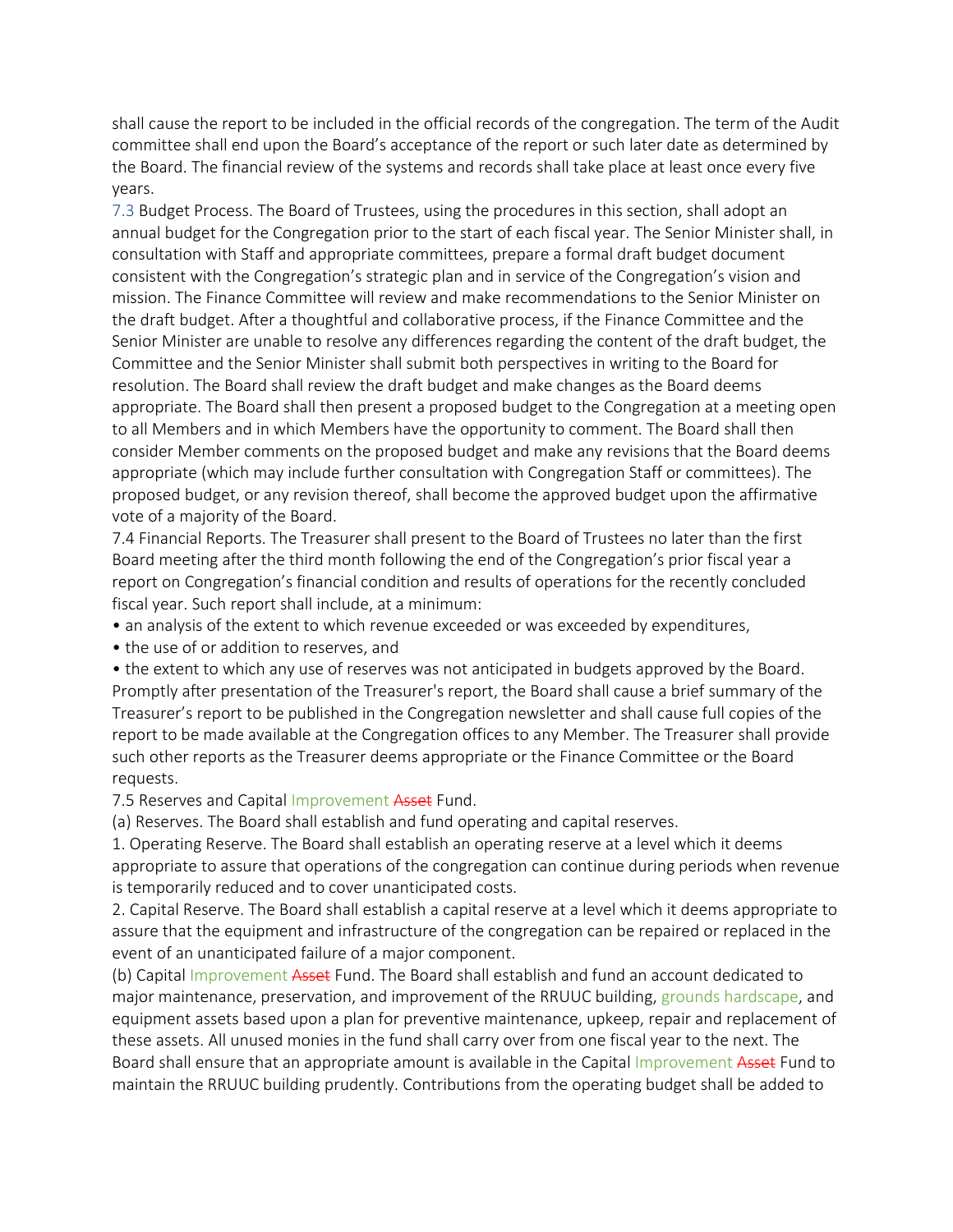shall cause the report to be included in the official records of the congregation. The term of the Audit committee shall end upon the Board's acceptance of the report or such later date as determined by the Board. The financial review of the systems and records shall take place at least once every five years.

7.3 Budget Process. The Board of Trustees, using the procedures in this section, shall adopt an annual budget for the Congregation prior to the start of each fiscal year. The Senior Minister shall, in consultation with Staff and appropriate committees, prepare a formal draft budget document consistent with the Congregation's strategic plan and in service of the Congregation's vision and mission. The Finance Committee will review and make recommendations to the Senior Minister on the draft budget. After a thoughtful and collaborative process, if the Finance Committee and the Senior Minister are unable to resolve any differences regarding the content of the draft budget, the Committee and the Senior Minister shall submit both perspectives in writing to the Board for resolution. The Board shall review the draft budget and make changes as the Board deems appropriate. The Board shall then present a proposed budget to the Congregation at a meeting open to all Members and in which Members have the opportunity to comment. The Board shall then consider Member comments on the proposed budget and make any revisions that the Board deems appropriate (which may include further consultation with Congregation Staff or committees). The proposed budget, or any revision thereof, shall become the approved budget upon the affirmative vote of a majority of the Board.

7.4 Financial Reports. The Treasurer shall present to the Board of Trustees no later than the first Board meeting after the third month following the end of the Congregation's prior fiscal year a report on Congregation's financial condition and results of operations for the recently concluded fiscal year. Such report shall include, at a minimum:

- an analysis of the extent to which revenue exceeded or was exceeded by expenditures,
- the use of or addition to reserves, and

• the extent to which any use of reserves was not anticipated in budgets approved by the Board. Promptly after presentation of the Treasurer's report, the Board shall cause a brief summary of the Treasurer's report to be published in the Congregation newsletter and shall cause full copies of the report to be made available at the Congregation offices to any Member. The Treasurer shall provide such other reports as the Treasurer deems appropriate or the Finance Committee or the Board requests.

### 7.5 Reserves and Capital Improvement Asset Fund.

(a) Reserves. The Board shall establish and fund operating and capital reserves.

1. Operating Reserve. The Board shall establish an operating reserve at a level which it deems appropriate to assure that operations of the congregation can continue during periods when revenue is temporarily reduced and to cover unanticipated costs.

2. Capital Reserve. The Board shall establish a capital reserve at a level which it deems appropriate to assure that the equipment and infrastructure of the congregation can be repaired or replaced in the event of an unanticipated failure of a major component.

(b) Capital Improvement Asset Fund. The Board shall establish and fund an account dedicated to major maintenance, preservation, and improvement of the RRUUC building, grounds hardscape, and equipment assets based upon a plan for preventive maintenance, upkeep, repair and replacement of these assets. All unused monies in the fund shall carry over from one fiscal year to the next. The Board shall ensure that an appropriate amount is available in the Capital Improvement Asset Fund to maintain the RRUUC building prudently. Contributions from the operating budget shall be added to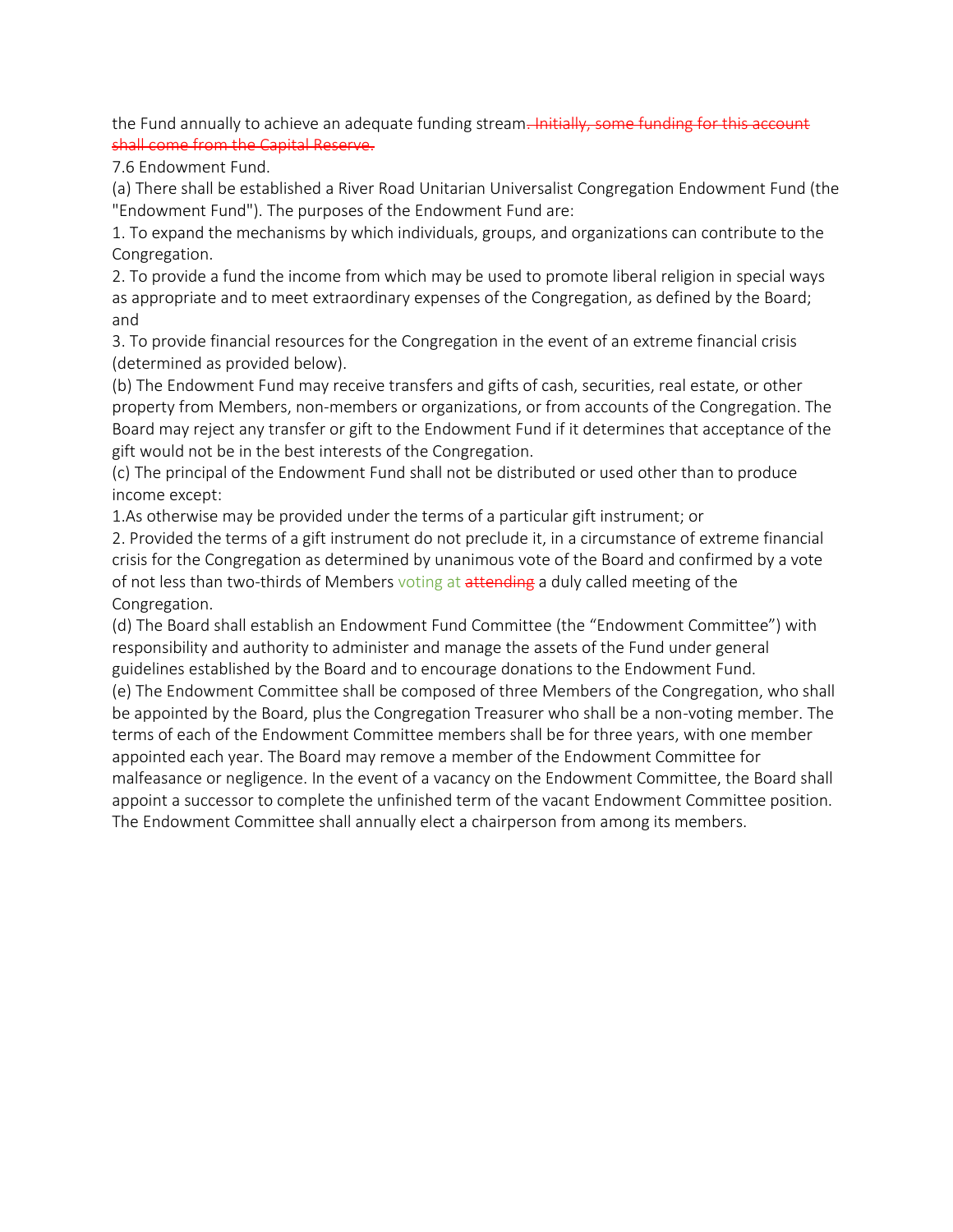the Fund annually to achieve an adequate funding stream. Initially, some funding for this shall come from the Capital Reserve.

7.6 Endowment Fund.

(a) There shall be established a River Road Unitarian Universalist Congregation Endowment Fund (the "Endowment Fund"). The purposes of the Endowment Fund are:

1. To expand the mechanisms by which individuals, groups, and organizations can contribute to the Congregation.

2. To provide a fund the income from which may be used to promote liberal religion in special ways as appropriate and to meet extraordinary expenses of the Congregation, as defined by the Board; and

3. To provide financial resources for the Congregation in the event of an extreme financial crisis (determined as provided below).

(b) The Endowment Fund may receive transfers and gifts of cash, securities, real estate, or other property from Members, non-members or organizations, or from accounts of the Congregation. The Board may reject any transfer or gift to the Endowment Fund if it determines that acceptance of the gift would not be in the best interests of the Congregation.

(c) The principal of the Endowment Fund shall not be distributed or used other than to produce income except:

1.As otherwise may be provided under the terms of a particular gift instrument; or

2. Provided the terms of a gift instrument do not preclude it, in a circumstance of extreme financial crisis for the Congregation as determined by unanimous vote of the Board and confirmed by a vote of not less than two-thirds of Members voting at attending a duly called meeting of the Congregation.

(d) The Board shall establish an Endowment Fund Committee (the "Endowment Committee") with responsibility and authority to administer and manage the assets of the Fund under general guidelines established by the Board and to encourage donations to the Endowment Fund.

(e) The Endowment Committee shall be composed of three Members of the Congregation, who shall be appointed by the Board, plus the Congregation Treasurer who shall be a non-voting member. The terms of each of the Endowment Committee members shall be for three years, with one member appointed each year. The Board may remove a member of the Endowment Committee for malfeasance or negligence. In the event of a vacancy on the Endowment Committee, the Board shall appoint a successor to complete the unfinished term of the vacant Endowment Committee position. The Endowment Committee shall annually elect a chairperson from among its members.